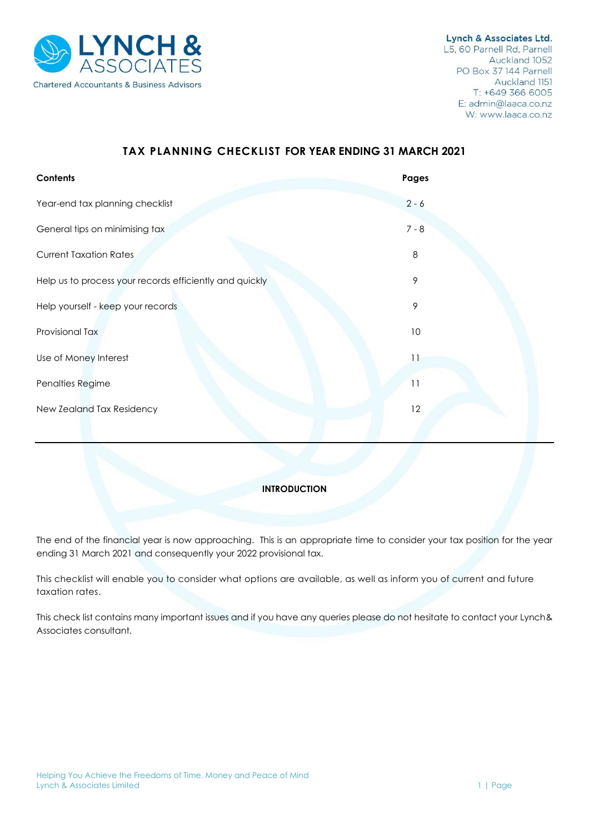

# **TAX PLANNING CHECKLIST FOR YEAR ENDING 31 MARCH 2021**

| Contents                                                | Pages          |
|---------------------------------------------------------|----------------|
| Year-end tax planning checklist                         | $2 - 6$        |
| General tips on minimising tax                          | $7 - 8$        |
| <b>Current Taxation Rates</b>                           | 8              |
| Help us to process your records efficiently and quickly | 9              |
| Help yourself - keep your records                       | 9              |
| Provisional Tax                                         | 10             |
| Use of Money Interest                                   | $\overline{1}$ |
| Penalties Regime                                        | 11             |
| New Zealand Tax Residency                               | 12             |
|                                                         |                |

## **INTRODUCTION**

The end of the financial year is now approaching. This is an appropriate time to consider your tax position for the year ending 31 March 2021 and consequently your 2022 provisional tax.

This checklist will enable you to consider what options are available, as well as inform you of current and future taxation rates.

This check list contains many important issues and if you have any queries please do not hesitate to contact your Lynch& Associates consultant.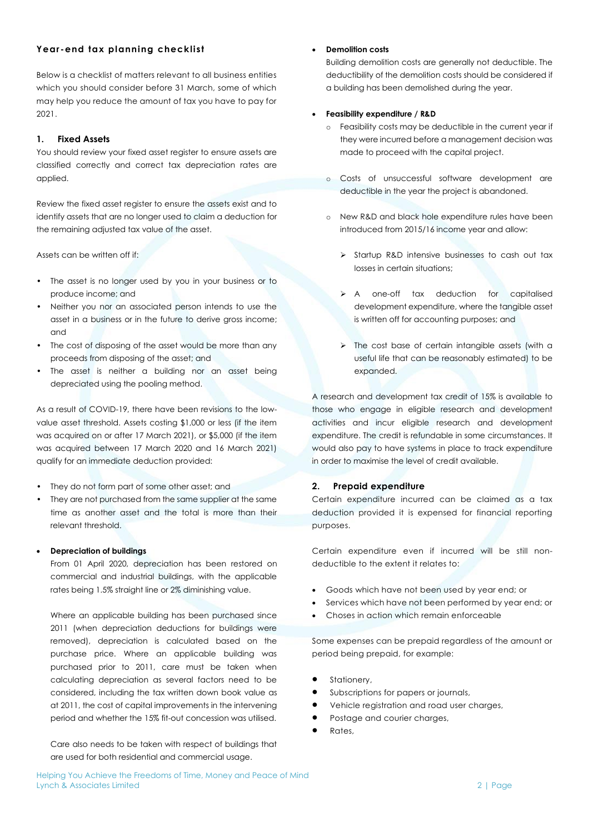## **Year -end tax planning checklist**

Below is a checklist of matters relevant to all business entities which you should consider before 31 March, some of which may help you reduce the amount of tax you have to pay for 2021.

## **1. Fixed Assets**

You should review your fixed asset register to ensure assets are classified correctly and correct tax depreciation rates are applied.

Review the fixed asset register to ensure the assets exist and to identify assets that are no longer used to claim a deduction for the remaining adjusted tax value of the asset.

Assets can be written off if:

- The asset is no longer used by you in your business or to produce income; and
- Neither you nor an associated person intends to use the asset in a business or in the future to derive gross income; and
- The cost of disposing of the asset would be more than any proceeds from disposing of the asset; and
- The asset is neither a building nor an asset being depreciated using the pooling method.

As a result of COVID-19, there have been revisions to the lowvalue asset threshold. Assets costing \$1,000 or less (if the item was acquired on or after 17 March 2021), or \$5,000 (if the item was acquired between 17 March 2020 and 16 March 2021) qualify for an immediate deduction provided:

- They do not form part of some other asset; and
- They are not purchased from the same supplier at the same time as another asset and the total is more than their relevant threshold.

#### • **Depreciation of buildings**

From 01 April 2020, depreciation has been restored on commercial and industrial buildings, with the applicable rates being 1.5% straight line or 2% diminishing value.

Where an applicable building has been purchased since 2011 (when depreciation deductions for buildings were removed), depreciation is calculated based on the purchase price. Where an applicable building was purchased prior to 2011, care must be taken when calculating depreciation as several factors need to be considered, including the tax written down book value as at 2011, the cost of capital improvements in the intervening period and whether the 15% fit-out concession was utilised.

Care also needs to be taken with respect of buildings that are used for both residential and commercial usage.

### • **Demolition costs**

Building demolition costs are generally not deductible. The deductibility of the demolition costs should be considered if a building has been demolished during the year.

#### • **Feasibility expenditure / R&D**

- o Feasibility costs may be deductible in the current year if they were incurred before a management decision was made to proceed with the capital project.
- o Costs of unsuccessful software development are deductible in the year the project is abandoned.
- o New R&D and black hole expenditure rules have been introduced from 2015/16 income year and allow:
	- ➢ Startup R&D intensive businesses to cash out tax losses in certain situations;
	- ➢ A one-off tax deduction for capitalised development expenditure, where the tangible asset is written off for accounting purposes; and
	- ➢ The cost base of certain intangible assets (with a useful life that can be reasonably estimated) to be expanded.

A research and development tax credit of 15% is available to those who engage in eligible research and development activities and incur eligible research and development expenditure. The credit is refundable in some circumstances. It would also pay to have systems in place to track expenditure in order to maximise the level of credit available.

#### **2. Prepaid expenditure**

Certain expenditure incurred can be claimed as a tax deduction provided it is expensed for financial reporting purposes.

Certain expenditure even if incurred will be still nondeductible to the extent it relates to:

- Goods which have not been used by year end; or
- Services which have not been performed by year end; or
- Choses in action which remain enforceable

Some expenses can be prepaid regardless of the amount or period being prepaid, for example:

- Stationery,
- Subscriptions for papers or journals,
- Vehicle registration and road user charges,
- Postage and courier charges,
- Rates,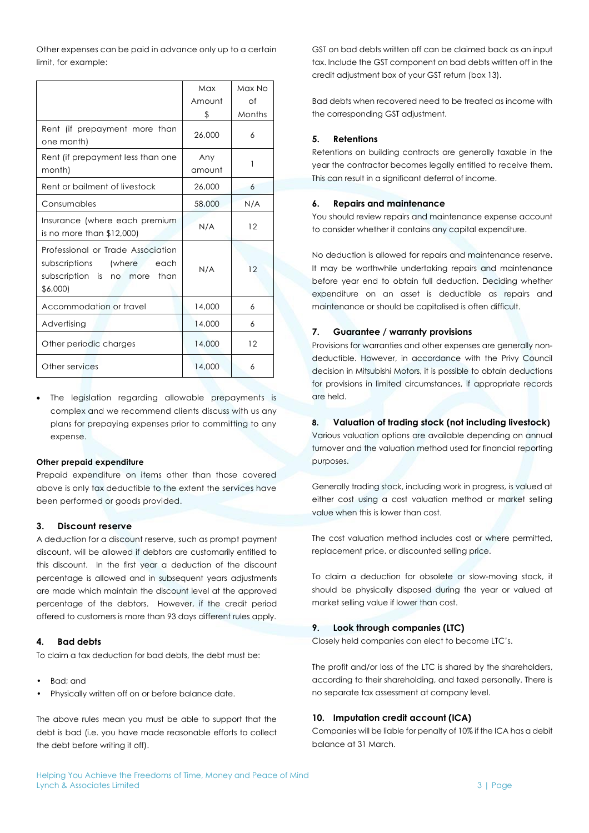Other expenses can be paid in advance only up to a certain limit, for example:

|                                                                                                                  | Max<br>Amount | Max No<br>Οf |
|------------------------------------------------------------------------------------------------------------------|---------------|--------------|
|                                                                                                                  | \$            | Months       |
| Rent (if prepayment more than<br>one month)                                                                      | 26,000        | 6            |
| Rent (if prepayment less than one<br>month)                                                                      | Any<br>amount | 1            |
| Rent or bailment of livestock                                                                                    | 26,000        | 6            |
| Consumables                                                                                                      | 58,000        | N/A          |
| Insurance (where each premium<br>is no more than $$12,000$                                                       | N/A           | 12           |
| Professional or Trade Association<br>subscriptions (where<br>each<br>subscription is no more<br>than<br>\$6,000) | N/A           | 12           |
| Accommodation or travel                                                                                          | 14,000        | 6            |
| Advertising                                                                                                      | 14,000        | 6            |
| Other periodic charges                                                                                           | 14,000        | 12           |
| Other services                                                                                                   | 14,000        | 6            |

The legislation regarding allowable prepayments is complex and we recommend clients discuss with us any plans for prepaying expenses prior to committing to any expense.

#### **Other prepaid expenditure**

Prepaid expenditure on items other than those covered above is only tax deductible to the extent the services have been performed or goods provided.

#### **3. Discount reserve**

A deduction for a discount reserve, such as prompt payment discount, will be allowed if debtors are customarily entitled to this discount. In the first year a deduction of the discount percentage is allowed and in subsequent years adjustments are made which maintain the discount level at the approved percentage of the debtors. However, if the credit period offered to customers is more than 93 days different rules apply.

## **4. Bad debts**

To claim a tax deduction for bad debts, the debt must be:

- Bad; and
- Physically written off on or before balance date.

The above rules mean you must be able to support that the debt is bad (i.e. you have made reasonable efforts to collect the debt before writing it off).

GST on bad debts written off can be claimed back as an input tax. Include the GST component on bad debts written off in the credit adjustment box of your GST return (box 13).

Bad debts when recovered need to be treated as income with the corresponding GST adjustment.

#### **5. Retentions**

Retentions on building contracts are generally taxable in the year the contractor becomes legally entitled to receive them. This can result in a significant deferral of income.

#### **6. Repairs and maintenance**

You should review repairs and maintenance expense account to consider whether it contains any capital expenditure.

No deduction is allowed for repairs and maintenance reserve. It may be worthwhile undertaking repairs and maintenance before year end to obtain full deduction. Deciding whether expenditure on an asset is deductible as repairs and maintenance or should be capitalised is often difficult.

#### **7. Guarantee / warranty provisions**

Provisions for warranties and other expenses are generally nondeductible. However, in accordance with the Privy Council decision in Mitsubishi Motors, it is possible to obtain deductions for provisions in limited circumstances, if appropriate records are held.

#### **8. Valuation of trading stock (not including livestock)**

Various valuation options are available depending on annual turnover and the valuation method used for financial reporting purposes.

Generally trading stock, including work in progress, is valued at either cost using a cost valuation method or market selling value when this is lower than cost.

The cost valuation method includes cost or where permitted, replacement price, or discounted selling price.

To claim a deduction for obsolete or slow-moving stock, it should be physically disposed during the year or valued at market selling value if lower than cost.

### **9. Look through companies (LTC)**

Closely held companies can elect to become LTC's.

The profit and/or loss of the LTC is shared by the shareholders, according to their shareholding, and taxed personally. There is no separate tax assessment at company level.

#### **10. Imputation credit account (ICA)**

Companies will be liable for penalty of 10% if the ICA has a debit balance at 31 March.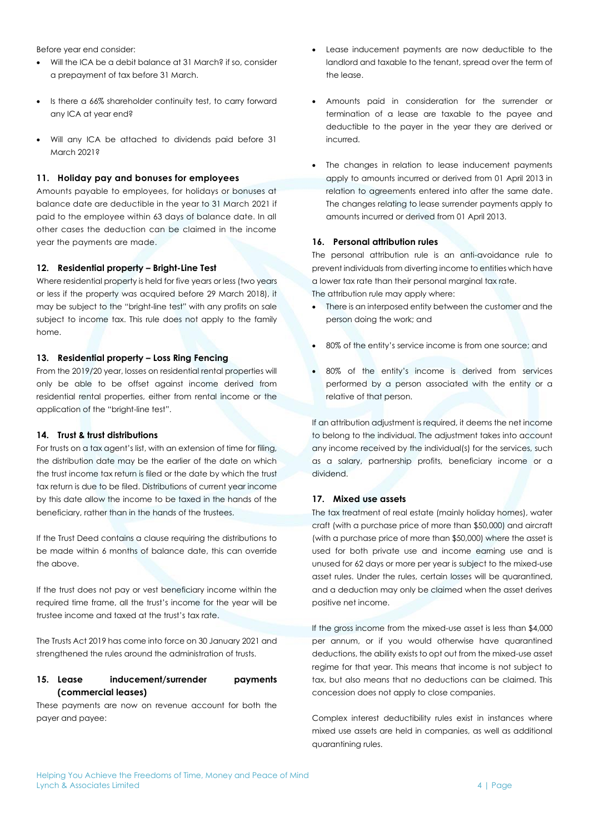Before year end consider:

- Will the ICA be a debit balance at 31 March? if so, consider a prepayment of tax before 31 March.
- Is there a 66% shareholder continuity test, to carry forward any ICA at year end?
- Will any ICA be attached to dividends paid before 31 March 2021?

### **11. Holiday pay and bonuses for employees**

Amounts payable to employees, for holidays or bonuses at balance date are deductible in the year to 31 March 2021 if paid to the employee within 63 days of balance date. In all other cases the deduction can be claimed in the income year the payments are made.

### **12. Residential property – Bright-Line Test**

Where residential property is held for five years or less (two years or less if the property was acquired before 29 March 2018), it may be subject to the "bright-line test" with any profits on sale subject to income tax. This rule does not apply to the family home.

#### **13. Residential property – Loss Ring Fencing**

From the 2019/20 year, losses on residential rental properties will only be able to be offset against income derived from residential rental properties, either from rental income or the application of the "bright-line test".

#### **14. Trust & trust distributions**

For trusts on a tax agent's list, with an extension of time for filing, the distribution date may be the earlier of the date on which the trust income tax return is filed or the date by which the trust tax return is due to be filed. Distributions of current year income by this date allow the income to be taxed in the hands of the beneficiary, rather than in the hands of the trustees.

If the Trust Deed contains a clause requiring the distributions to be made within 6 months of balance date, this can override the above.

If the trust does not pay or vest beneficiary income within the required time frame, all the trust's income for the year will be trustee income and taxed at the trust's tax rate.

The Trusts Act 2019 has come into force on 30 January 2021 and strengthened the rules around the administration of trusts.

## **15. Lease inducement/surrender payments (commercial leases)**

These payments are now on revenue account for both the payer and payee:

- Lease inducement payments are now deductible to the landlord and taxable to the tenant, spread over the term of the lease.
- Amounts paid in consideration for the surrender or termination of a lease are taxable to the payee and deductible to the payer in the year they are derived or incurred.
- The changes in relation to lease inducement payments apply to amounts incurred or derived from 01 April 2013 in relation to agreements entered into after the same date. The changes relating to lease surrender payments apply to amounts incurred or derived from 01 April 2013.

## **16. Personal attribution rules**

The personal attribution rule is an anti-avoidance rule to prevent individuals from diverting income to entities which have a lower tax rate than their personal marginal tax rate. The attribution rule may apply where:

- There is an interposed entity between the customer and the person doing the work; and
- 80% of the entity's service income is from one source; and
- 80% of the entity's income is derived from services performed by a person associated with the entity or a relative of that person.

If an attribution adjustment is required, it deems the net income to belong to the individual. The adjustment takes into account any income received by the individual(s) for the services, such as a salary, partnership profits, beneficiary income or a dividend.

#### **17. Mixed use assets**

The tax treatment of real estate (mainly holiday homes), water craft (with a purchase price of more than \$50,000) and aircraft (with a purchase price of more than \$50,000) where the asset is used for both private use and income earning use and is unused for 62 days or more per year is subject to the mixed-use asset rules. Under the rules, certain losses will be quarantined, and a deduction may only be claimed when the asset derives positive net income.

If the gross income from the mixed-use asset is less than \$4,000 per annum, or if you would otherwise have quarantined deductions, the ability exists to opt out from the mixed-use asset regime for that year. This means that income is not subject to tax, but also means that no deductions can be claimed. This concession does not apply to close companies.

Complex interest deductibility rules exist in instances where mixed use assets are held in companies, as well as additional quarantining rules.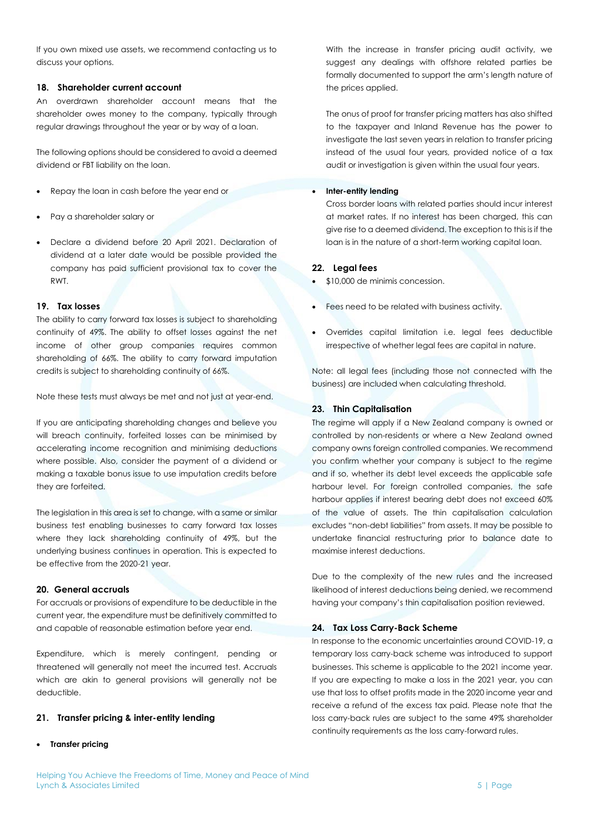If you own mixed use assets, we recommend contacting us to discuss your options.

### **18. Shareholder current account**

An overdrawn shareholder account means that the shareholder owes money to the company, typically through regular drawings throughout the year or by way of a loan.

The following options should be considered to avoid a deemed dividend or FBT liability on the loan.

- Repay the loan in cash before the year end or
- Pay a shareholder salary or
- Declare a dividend before 20 April 2021. Declaration of dividend at a later date would be possible provided the company has paid sufficient provisional tax to cover the RWT.

#### **19. Tax losses**

The ability to carry forward tax losses is subject to shareholding continuity of 49%. The ability to offset losses against the net income of other group companies requires common shareholding of 66%. The ability to carry forward imputation credits is subject to shareholding continuity of 66%.

Note these tests must always be met and not just at year-end.

If you are anticipating shareholding changes and believe you will breach continuity, forfeited losses can be minimised by accelerating income recognition and minimising deductions where possible. Also, consider the payment of a dividend or making a taxable bonus issue to use imputation credits before they are forfeited.

The legislation in this area is set to change, with a same or similar business test enabling businesses to carry forward tax losses where they lack shareholding continuity of 49%, but the underlying business continues in operation. This is expected to be effective from the 2020-21 year.

### **20. General accruals**

For accruals or provisions of expenditure to be deductible in the current year, the expenditure must be definitively committed to and capable of reasonable estimation before year end.

Expenditure, which is merely contingent, pending or threatened will generally not meet the incurred test. Accruals which are akin to general provisions will generally not be deductible.

#### **21. Transfer pricing & inter-entity lending**

• **Transfer pricing**

With the increase in transfer pricing audit activity, we suggest any dealings with offshore related parties be formally documented to support the arm's length nature of the prices applied.

The onus of proof for transfer pricing matters has also shifted to the taxpayer and Inland Revenue has the power to investigate the last seven years in relation to transfer pricing instead of the usual four years, provided notice of a tax audit or investigation is given within the usual four years.

### **Inter-entity lending**

Cross border loans with related parties should incur interest at market rates. If no interest has been charged, this can give rise to a deemed dividend. The exception to this is if the loan is in the nature of a short-term working capital loan.

### **22. Legal fees**

- \$10,000 de minimis concession.
- Fees need to be related with business activity.
- Overrides capital limitation i.e. legal fees deductible irrespective of whether legal fees are capital in nature.

Note: all legal fees (including those not connected with the business) are included when calculating threshold.

#### **23. Thin Capitalisation**

The regime will apply if a New Zealand company is owned or controlled by non-residents or where a New Zealand owned company owns foreign controlled companies. We recommend you confirm whether your company is subject to the regime and if so, whether its debt level exceeds the applicable safe harbour level. For foreign controlled companies, the safe harbour applies if interest bearing debt does not exceed 60% of the value of assets. The thin capitalisation calculation excludes "non-debt liabilities" from assets. It may be possible to undertake financial restructuring prior to balance date to maximise interest deductions.

Due to the complexity of the new rules and the increased likelihood of interest deductions being denied, we recommend having your company's thin capitalisation position reviewed.

#### **24. Tax Loss Carry-Back Scheme**

In response to the economic uncertainties around COVID-19, a temporary loss carry-back scheme was introduced to support businesses. This scheme is applicable to the 2021 income year. If you are expecting to make a loss in the 2021 year, you can use that loss to offset profits made in the 2020 income year and receive a refund of the excess tax paid. Please note that the loss carry-back rules are subject to the same 49% shareholder continuity requirements as the loss carry-forward rules.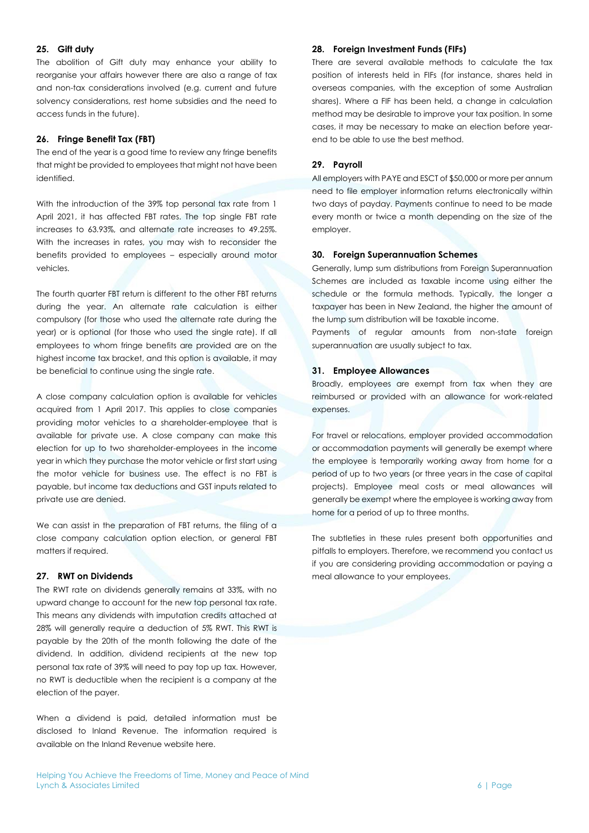### **25. Gift duty**

The abolition of Gift duty may enhance your ability to reorganise your affairs however there are also a range of tax and non-tax considerations involved (e.g. current and future solvency considerations, rest home subsidies and the need to access funds in the future).

### **26. Fringe Benefit Tax (FBT)**

The end of the year is a good time to review any fringe benefits that might be provided to employees that might not have been identified.

With the introduction of the 39% top personal tax rate from 1 April 2021, it has affected FBT rates. The top single FBT rate increases to 63.93%, and alternate rate increases to 49.25%. With the increases in rates, you may wish to reconsider the benefits provided to employees – especially around motor vehicles.

The fourth quarter FBT return is different to the other FBT returns during the year. An alternate rate calculation is either compulsory (for those who used the alternate rate during the year) or is optional (for those who used the single rate). If all employees to whom fringe benefits are provided are on the highest income tax bracket, and this option is available, it may be beneficial to continue using the single rate.

A close company calculation option is available for vehicles acquired from 1 April 2017. This applies to close companies providing motor vehicles to a shareholder-employee that is available for private use. A close company can make this election for up to two shareholder-employees in the income year in which they purchase the motor vehicle or first start using the motor vehicle for business use. The effect is no FBT is payable, but income tax deductions and GST inputs related to private use are denied.

We can assist in the preparation of FBT returns, the filing of a close company calculation option election, or general FBT matters if required.

#### **27. RWT on Dividends**

The RWT rate on dividends generally remains at 33%, with no upward change to account for the new top personal tax rate. This means any dividends with imputation credits attached at 28% will generally require a deduction of 5% RWT. This RWT is payable by the 20th of the month following the date of the dividend. In addition, dividend recipients at the new top personal tax rate of 39% will need to pay top up tax. However, no RWT is deductible when the recipient is a company at the election of the payer.

When a dividend is paid, detailed information must be disclosed to Inland Revenue. The information required is available on the Inland Revenue website here.

#### **28. Foreign Investment Funds (FIFs)**

There are several available methods to calculate the tax position of interests held in FIFs (for instance, shares held in overseas companies, with the exception of some Australian shares). Where a FIF has been held, a change in calculation method may be desirable to improve your tax position. In some cases, it may be necessary to make an election before yearend to be able to use the best method.

#### **29. Payroll**

All employers with PAYE and ESCT of \$50,000 or more per annum need to file employer information returns electronically within two days of payday. Payments continue to need to be made every month or twice a month depending on the size of the employer.

## **30. Foreign Superannuation Schemes**

Generally, lump sum distributions from Foreign Superannuation Schemes are included as taxable income using either the schedule or the formula methods. Typically, the longer a taxpayer has been in New Zealand, the higher the amount of the lump sum distribution will be taxable income.

Payments of regular amounts from non-state foreign superannuation are usually subject to tax.

#### **31. Employee Allowances**

Broadly, employees are exempt from tax when they are reimbursed or provided with an allowance for work-related expenses.

For travel or relocations, employer provided accommodation or accommodation payments will generally be exempt where the employee is temporarily working away from home for a period of up to two years (or three years in the case of capital projects). Employee meal costs or meal allowances will generally be exempt where the employee is working away from home for a period of up to three months.

The subtleties in these rules present both opportunities and pitfalls to employers. Therefore, we recommend you contact us if you are considering providing accommodation or paying a meal allowance to your employees.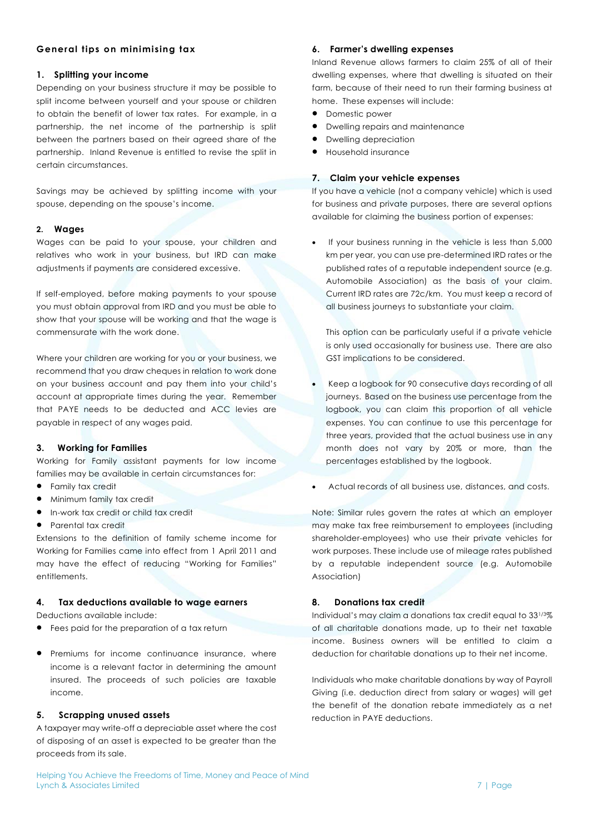## **General tips on minimising tax**

## **1. Splitting your income**

Depending on your business structure it may be possible to split income between yourself and your spouse or children to obtain the benefit of lower tax rates. For example, in a partnership, the net income of the partnership is split between the partners based on their agreed share of the partnership. Inland Revenue is entitled to revise the split in certain circumstances.

Savings may be achieved by splitting income with your spouse, depending on the spouse's income.

#### **2. Wages**

Wages can be paid to your spouse, your children and relatives who work in your business, but IRD can make adjustments if payments are considered excessive.

If self-employed, before making payments to your spouse you must obtain approval from IRD and you must be able to show that your spouse will be working and that the wage is commensurate with the work done.

Where your children are working for you or your business, we recommend that you draw cheques in relation to work done on your business account and pay them into your child's account at appropriate times during the year. Remember that PAYE needs to be deducted and ACC levies are payable in respect of any wages paid.

## **3. Working for Families**

Working for Family assistant payments for low income families may be available in certain circumstances for:

- Family tax credit
- Minimum family tax credit
- In-work tax credit or child tax credit
- Parental tax credit

Extensions to the definition of family scheme income for Working for Families came into effect from 1 April 2011 and may have the effect of reducing "Working for Families" entitlements.

#### **4. Tax deductions available to wage earners**

Deductions available include:

- Fees paid for the preparation of a tax return
- Premiums for income continuance insurance, where income is a relevant factor in determining the amount insured. The proceeds of such policies are taxable income.

#### **5. Scrapping unused assets**

A taxpayer may write-off a depreciable asset where the cost of disposing of an asset is expected to be greater than the proceeds from its sale.

## **6. Farmer's dwelling expenses**

Inland Revenue allows farmers to claim 25% of all of their dwelling expenses, where that dwelling is situated on their farm, because of their need to run their farming business at home. These expenses will include:

- Domestic power
- Dwelling repairs and maintenance
- Dwelling depreciation
- Household insurance

## **7. Claim your vehicle expenses**

If you have a vehicle (not a company vehicle) which is used for business and private purposes, there are several options available for claiming the business portion of expenses:

If your business running in the vehicle is less than 5,000 km per year, you can use pre-determined IRD rates or the published rates of a reputable independent source (e.g. Automobile Association) as the basis of your claim. Current IRD rates are 72c/km. You must keep a record of all business journeys to substantiate your claim.

This option can be particularly useful if a private vehicle is only used occasionally for business use. There are also GST implications to be considered.

- Keep a logbook for 90 consecutive days recording of all journeys. Based on the business use percentage from the logbook, you can claim this proportion of all vehicle expenses. You can continue to use this percentage for three years, provided that the actual business use in any month does not vary by 20% or more, than the percentages established by the logbook.
- Actual records of all business use, distances, and costs.

Note: Similar rules govern the rates at which an employer may make tax free reimbursement to employees (including shareholder-employees) who use their private vehicles for work purposes. These include use of mileage rates published by a reputable independent source (e.g. Automobile Association)

#### **8. Donations tax credit**

Individual's may claim a donations tax credit equal to 331/3% of all charitable donations made, up to their net taxable income. Business owners will be entitled to claim a deduction for charitable donations up to their net income.

Individuals who make charitable donations by way of Payroll Giving (i.e. deduction direct from salary or wages) will get the benefit of the donation rebate immediately as a net reduction in PAYE deductions.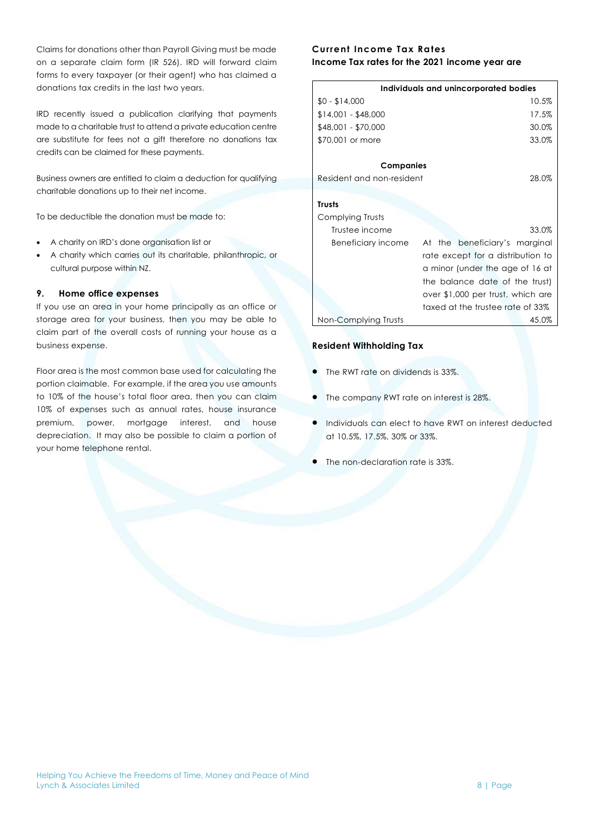Claims for donations other than Payroll Giving must be made on a separate claim form (IR 526). IRD will forward claim forms to every taxpayer (or their agent) who has claimed a donations tax credits in the last two years.

IRD recently issued a publication clarifying that payments made to a charitable trust to attend a private education centre are substitute for fees not a gift therefore no donations tax credits can be claimed for these payments.

Business owners are entitled to claim a deduction for qualifying charitable donations up to their net income.

To be deductible the donation must be made to:

- A charity on IRD's done organisation list or
- A charity which carries out its charitable, philanthropic, or cultural purpose within NZ.

### **9. Home office expenses**

If you use an area in your home principally as an office or storage area for your business, then you may be able to claim part of the overall costs of running your house as a business expense.

Floor area is the most common base used for calculating the portion claimable. For example, if the area you use amounts to 10% of the house's total floor area, then you can claim 10% of expenses such as annual rates, house insurance premium, power, mortgage interest, and house depreciation. It may also be possible to claim a portion of your home telephone rental.

## **Current Income Tax Rates Income Tax rates for the 2021 income year are**

| Individuals and unincorporated bodies |                                   |  |
|---------------------------------------|-----------------------------------|--|
| $$0 - $14,000$                        | 10.5%                             |  |
| $$14,001 - $48,000$                   | 17.5%                             |  |
| \$48,001 - \$70,000                   | 30.0%                             |  |
| \$70,001 or more                      | 33.0%                             |  |
| Companies                             |                                   |  |
| Resident and non-resident             | 28.0%                             |  |
|                                       |                                   |  |
| <b>Trusts</b>                         |                                   |  |
| Complying Trusts                      |                                   |  |
| Trustee income                        | 33.0%                             |  |
| Beneficiary income                    | At the beneficiary's marginal     |  |
|                                       | rate except for a distribution to |  |
| a minor (under the age of 16 at       |                                   |  |
|                                       | the balance date of the trust)    |  |
|                                       | over \$1,000 per trust, which are |  |
|                                       | taxed at the trustee rate of 33%  |  |
| Non-Complying Trusts                  | 45.0%                             |  |

## **Resident Withholding Tax**

- The RWT rate on dividends is 33%.
- The company RWT rate on interest is 28%.
- Individuals can elect to have RWT on interest deducted at 10.5%, 17.5%, 30% or 33%.
- The non-declaration rate is 33%.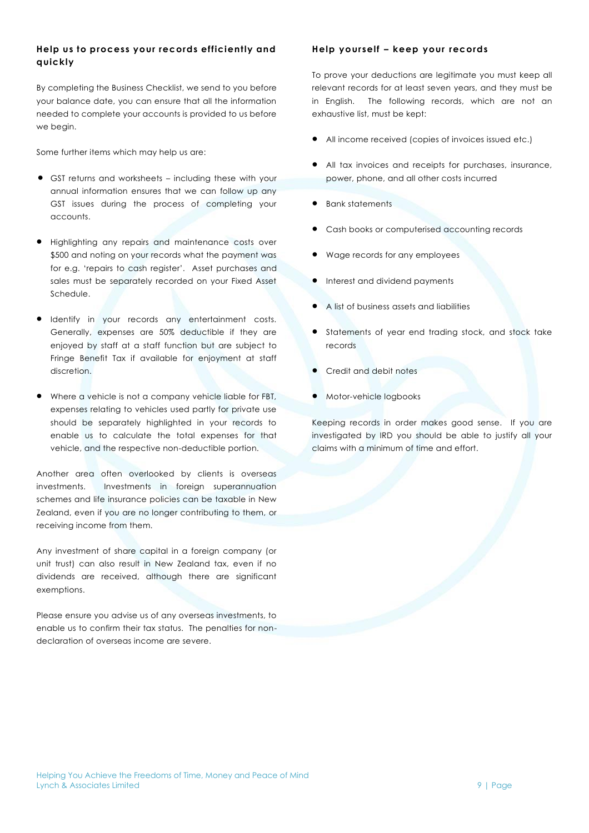## **Help us to process your records efficiently and quickly**

By completing the Business Checklist, we send to you before your balance date, you can ensure that all the information needed to complete your accounts is provided to us before we begin.

Some further items which may help us are:

- GST returns and worksheets including these with your annual information ensures that we can follow up any GST issues during the process of completing your accounts.
- Highlighting any repairs and maintenance costs over \$500 and noting on your records what the payment was for e.g. 'repairs to cash register'. Asset purchases and sales must be separately recorded on your Fixed Asset Schedule.
- Identify in your records any entertainment costs. Generally, expenses are 50% deductible if they are enjoyed by staff at a staff function but are subject to Fringe Benefit Tax if available for enjoyment at staff discretion.
- Where a vehicle is not a company vehicle liable for FBT, expenses relating to vehicles used partly for private use should be separately highlighted in your records to enable us to calculate the total expenses for that vehicle, and the respective non-deductible portion.

Another area often overlooked by clients is overseas investments. Investments in foreign superannuation schemes and life insurance policies can be taxable in New Zealand, even if you are no longer contributing to them, or receiving income from them.

Any investment of share capital in a foreign company (or unit trust) can also result in New Zealand tax, even if no dividends are received, although there are significant exemptions.

Please ensure you advise us of any overseas investments, to enable us to confirm their tax status. The penalties for nondeclaration of overseas income are severe.

## **Help yourself – keep your records**

To prove your deductions are legitimate you must keep all relevant records for at least seven years, and they must be in English. The following records, which are not an exhaustive list, must be kept:

- All income received (copies of invoices issued etc.)
- All tax invoices and receipts for purchases, insurance, power, phone, and all other costs incurred
- **•** Bank statements
- Cash books or computerised accounting records
- Wage records for any employees
- Interest and dividend payments
- A list of business assets and liabilities
- Statements of year end trading stock, and stock take records
- Credit and debit notes
- Motor-vehicle logbooks

Keeping records in order makes good sense. If you are investigated by IRD you should be able to justify all your claims with a minimum of time and effort.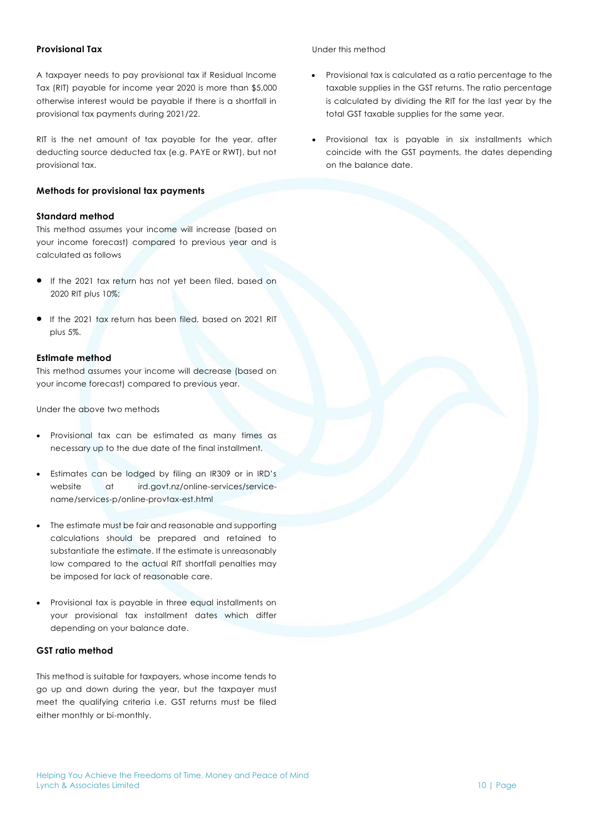## **Provisional Tax**

A taxpayer needs to pay provisional tax if Residual Income Tax (RIT) payable for income year 2020 is more than \$5,000 otherwise interest would be payable if there is a shortfall in provisional tax payments during 2021/22.

RIT is the net amount of tax payable for the year, after deducting source deducted tax (e.g. PAYE or RWT), but not provisional tax.

## **Methods for provisional tax payments**

## **Standard method**

This method assumes your income will increase (based on your income forecast) compared to previous year and is calculated as follows

- If the 2021 tax return has not yet been filed, based on 2020 RIT plus 10%;
- If the 2021 tax return has been filed, based on 2021 RIT plus 5%.

### **Estimate method**

This method assumes your income will decrease (based on your income forecast) compared to previous year.

Under the above two methods

- Provisional tax can be estimated as many times as necessary up to the due date of the final installment.
- Estimates can be lodged by filing an IR309 or in IRD's website at ird.govt.nz/online-services/servicename/services-p/online-provtax-est.html
- The estimate must be fair and reasonable and supporting calculations should be prepared and retained to substantiate the estimate. If the estimate is unreasonably low compared to the actual RIT shortfall penalties may be imposed for lack of reasonable care.
- Provisional tax is payable in three equal installments on your provisional tax installment dates which differ depending on your balance date.

## **GST ratio method**

This method is suitable for taxpayers, whose income tends to go up and down during the year, but the taxpayer must meet the qualifying criteria i.e. GST returns must be filed either monthly or bi-monthly.

## Under this method

- Provisional tax is calculated as a ratio percentage to the taxable supplies in the GST returns. The ratio percentage is calculated by dividing the RIT for the last year by the total GST taxable supplies for the same year.
- Provisional tax is payable in six installments which coincide with the GST payments, the dates depending on the balance date.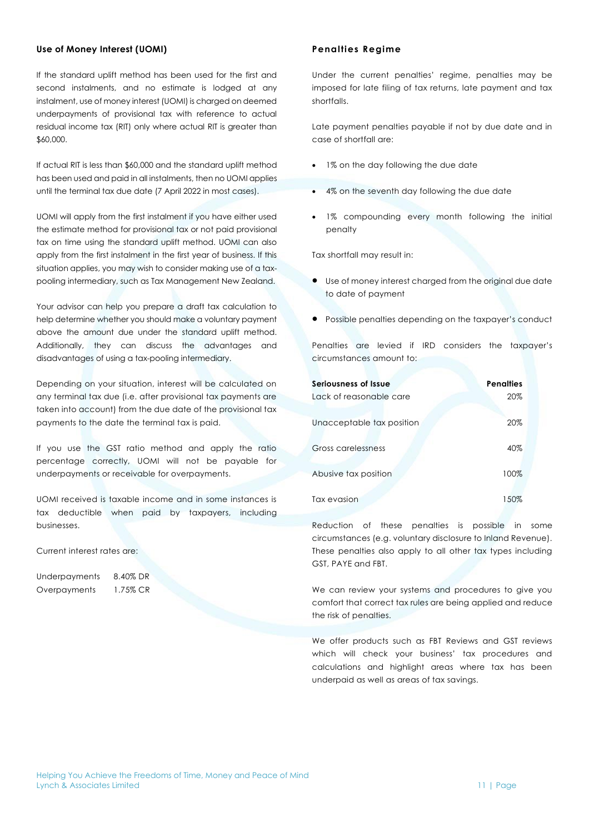### **Use of Money Interest (UOMI)**

If the standard uplift method has been used for the first and second instalments, and no estimate is lodged at any instalment, use of money interest (UOMI) is charged on deemed underpayments of provisional tax with reference to actual residual income tax (RIT) only where actual RIT is greater than \$60,000.

If actual RIT is less than \$60,000 and the standard uplift method has been used and paid in all instalments, then no UOMI applies until the terminal tax due date (7 April 2022 in most cases).

UOMI will apply from the first instalment if you have either used the estimate method for provisional tax or not paid provisional tax on time using the standard uplift method. UOMI can also apply from the first instalment in the first year of business. If this situation applies, you may wish to consider making use of a taxpooling intermediary, such as Tax Management New Zealand.

Your advisor can help you prepare a draft tax calculation to help determine whether you should make a voluntary payment above the amount due under the standard uplift method. Additionally, they can discuss the advantages and disadvantages of using a tax-pooling intermediary.

Depending on your situation, interest will be calculated on any terminal tax due (i.e. after provisional tax payments are taken into account) from the due date of the provisional tax payments to the date the terminal tax is paid.

If you use the GST ratio method and apply the ratio percentage correctly, UOMI will not be payable for underpayments or receivable for overpayments.

UOMI received is taxable income and in some instances is tax deductible when paid by taxpayers, including businesses.

Current interest rates are:

| Underpayments | 8.40% DR |
|---------------|----------|
| Overpayments  | 1.75% CR |

## **Penalties Regime**

Under the current penalties' regime, penalties may be imposed for late filing of tax returns, late payment and tax shortfalls.

Late payment penalties payable if not by due date and in case of shortfall are:

- 1% on the day following the due date
- 4% on the seventh day following the due date
- 1% compounding every month following the initial penalty

Tax shortfall may result in:

- Use of money interest charged from the original due date to date of payment
- Possible penalties depending on the taxpayer's conduct

Penalties are levied if IRD considers the taxpayer's circumstances amount to:

| Seriousness of Issue      | <b>Penalties</b> |  |
|---------------------------|------------------|--|
| Lack of reasonable care   | 20%              |  |
| Unacceptable tax position | 20%              |  |
| Gross carelessness        | 40%              |  |
| Abusive tax position      | 100%             |  |
| Tax evasion               | 150%             |  |

Reduction of these penalties is possible in some circumstances (e.g. voluntary disclosure to Inland Revenue). These penalties also apply to all other tax types including GST, PAYE and FBT.

We can review your systems and procedures to give you comfort that correct tax rules are being applied and reduce the risk of penalties.

We offer products such as FBT Reviews and GST reviews which will check your business' tax procedures and calculations and highlight areas where tax has been underpaid as well as areas of tax savings.